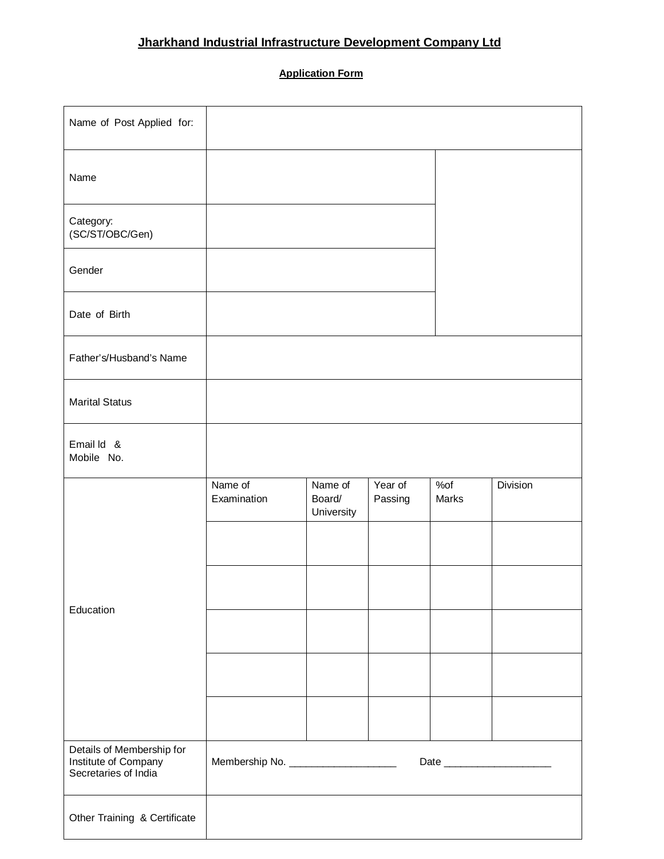## **Jharkhand Industrial Infrastructure Development Company Ltd**

## **Application Form**

| Name of Post Applied for:                                                 |                                      |                                 |                    |              |                             |
|---------------------------------------------------------------------------|--------------------------------------|---------------------------------|--------------------|--------------|-----------------------------|
| Name                                                                      |                                      |                                 |                    |              |                             |
| Category:<br>(SC/ST/OBC/Gen)                                              |                                      |                                 |                    |              |                             |
| Gender                                                                    |                                      |                                 |                    |              |                             |
| Date of Birth                                                             |                                      |                                 |                    |              |                             |
| Father's/Husband's Name                                                   |                                      |                                 |                    |              |                             |
| <b>Marital Status</b>                                                     |                                      |                                 |                    |              |                             |
| Email Id &<br>Mobile No.                                                  |                                      |                                 |                    |              |                             |
|                                                                           |                                      |                                 |                    |              |                             |
|                                                                           | Name of<br>Examination               | Name of<br>Board/<br>University | Year of<br>Passing | %of<br>Marks | Division                    |
|                                                                           |                                      |                                 |                    |              |                             |
|                                                                           |                                      |                                 |                    |              |                             |
| Education                                                                 |                                      |                                 |                    |              |                             |
|                                                                           |                                      |                                 |                    |              |                             |
|                                                                           |                                      |                                 |                    |              |                             |
| Details of Membership for<br>Institute of Company<br>Secretaries of India | Membership No. _____________________ |                                 |                    |              | Date ______________________ |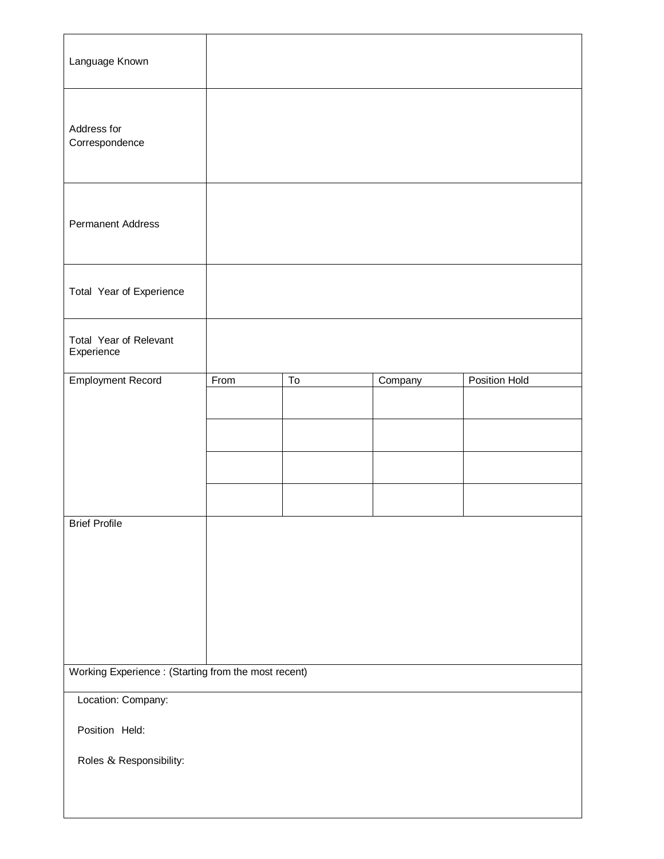| Language Known                                      |      |    |         |               |  |  |
|-----------------------------------------------------|------|----|---------|---------------|--|--|
| Address for<br>Correspondence                       |      |    |         |               |  |  |
| <b>Permanent Address</b>                            |      |    |         |               |  |  |
| Total Year of Experience                            |      |    |         |               |  |  |
| Total Year of Relevant<br>Experience                |      |    |         |               |  |  |
| <b>Employment Record</b>                            | From | To | Company | Position Hold |  |  |
|                                                     |      |    |         |               |  |  |
|                                                     |      |    |         |               |  |  |
|                                                     |      |    |         |               |  |  |
|                                                     |      |    |         |               |  |  |
| <b>Brief Profile</b>                                |      |    |         |               |  |  |
|                                                     |      |    |         |               |  |  |
|                                                     |      |    |         |               |  |  |
|                                                     |      |    |         |               |  |  |
|                                                     |      |    |         |               |  |  |
| Working Experience: (Starting from the most recent) |      |    |         |               |  |  |
| Location: Company:                                  |      |    |         |               |  |  |
| Position Held:                                      |      |    |         |               |  |  |
| Roles & Responsibility:                             |      |    |         |               |  |  |
|                                                     |      |    |         |               |  |  |
|                                                     |      |    |         |               |  |  |